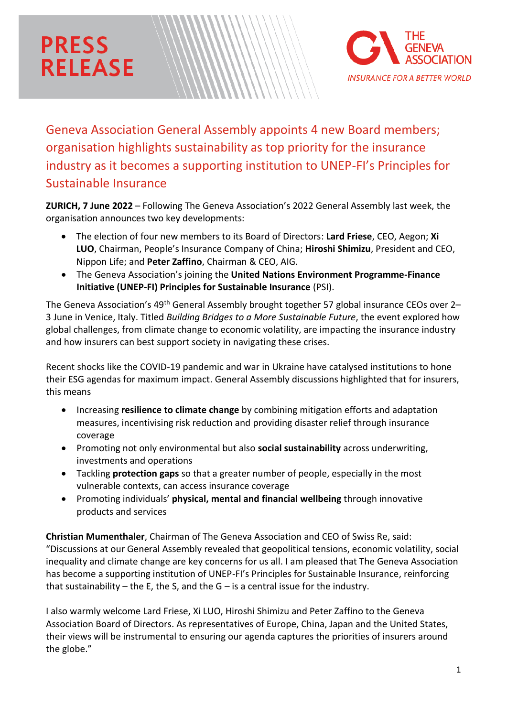## **PRESS RELEASE**



Geneva Association General Assembly appoints 4 new Board members; organisation highlights sustainability as top priority for the insurance industry as it becomes a supporting institution to UNEP-FI's Principles for Sustainable Insurance

**ZURICH, 7 June 2022** – Following The Geneva Association's 2022 General Assembly last week, the organisation announces two key developments:

- The election of four new members to its Board of Directors: **Lard Friese**, CEO, Aegon; **Xi LUO**, Chairman, People's Insurance Company of China; **Hiroshi Shimizu**, President and CEO, Nippon Life; and **Peter Zaffino**, Chairman & CEO, AIG.
- The Geneva Association's joining the **United Nations Environment Programme-Finance Initiative (UNEP-FI) Principles for Sustainable Insurance** (PSI).

The Geneva Association's 49<sup>th</sup> General Assembly brought together 57 global insurance CEOs over 2– 3 June in Venice, Italy. Titled *Building Bridges to a More Sustainable Future*, the event explored how global challenges, from climate change to economic volatility, are impacting the insurance industry and how insurers can best support society in navigating these crises.

Recent shocks like the COVID-19 pandemic and war in Ukraine have catalysed institutions to hone their ESG agendas for maximum impact. General Assembly discussions highlighted that for insurers, this means

- Increasing **resilience to climate change** by combining mitigation efforts and adaptation measures, incentivising risk reduction and providing disaster relief through insurance coverage
- Promoting not only environmental but also **social sustainability** across underwriting, investments and operations
- Tackling **protection gaps** so that a greater number of people, especially in the most vulnerable contexts, can access insurance coverage
- Promoting individuals' **physical, mental and financial wellbeing** through innovative products and services

**Christian Mumenthaler**, Chairman of The Geneva Association and CEO of Swiss Re, said: "Discussions at our General Assembly revealed that geopolitical tensions, economic volatility, social inequality and climate change are key concerns for us all. I am pleased that The Geneva Association has become a supporting institution of UNEP-FI's Principles for Sustainable Insurance, reinforcing that sustainability – the E, the S, and the  $G$  – is a central issue for the industry.

I also warmly welcome Lard Friese, Xi LUO, Hiroshi Shimizu and Peter Zaffino to the Geneva Association Board of Directors. As representatives of Europe, China, Japan and the United States, their views will be instrumental to ensuring our agenda captures the priorities of insurers around the globe."